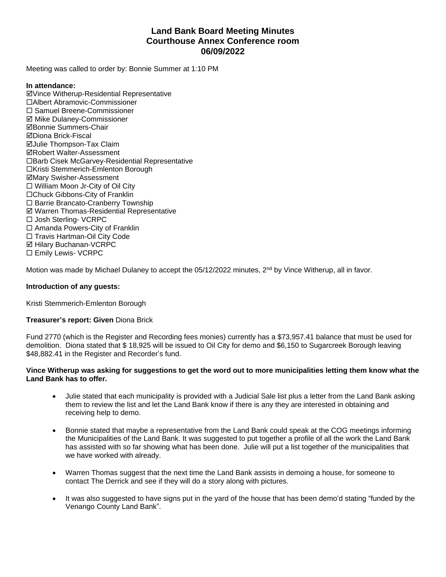# **Land Bank Board Meeting Minutes Courthouse Annex Conference room 06/09/2022**

Meeting was called to order by: Bonnie Summer at 1:10 PM

## **In attendance:**

þVince Witherup-Residential Representative ¨Albert Abramovic-Commissioner ¨ Samuel Breene-Commissioner þ Mike Dulaney-Commissioner þBonnie Summers-Chair þDiona Brick-Fiscal **ØJulie Thompson-Tax Claim ØRobert Walter-Assessment** □Barb Cisek McGarvey-Residential Representative □Kristi Stemmerich-Emlenton Borough þMary Swisher-Assessment  $\square$  William Moon Jr-City of Oil City □Chuck Gibbons-City of Franklin □ Barrie Brancato-Cranberry Township þ Warren Thomas-Residential Representative □ Josh Sterling- VCRPC  $\square$  Amanda Powers-City of Franklin □ Travis Hartman-Oil City Code þ Hilary Buchanan-VCRPC □ Emily Lewis- VCRPC

Motion was made by Michael Dulaney to accept the 05/12/2022 minutes, 2<sup>nd</sup> by Vince Witherup, all in favor.

## **Introduction of any guests:**

Kristi Stemmerich-Emlenton Borough

# **Treasurer's report: Given** Diona Brick

Fund 2770 (which is the Register and Recording fees monies) currently has a \$73,957.41 balance that must be used for demolition. Diona stated that \$ 18,925 will be issued to Oil City for demo and \$6,150 to Sugarcreek Borough leaving \$48,882.41 in the Register and Recorder's fund.

#### **Vince Witherup was asking for suggestions to get the word out to more municipalities letting them know what the Land Bank has to offer.**

- Julie stated that each municipality is provided with a Judicial Sale list plus a letter from the Land Bank asking them to review the list and let the Land Bank know if there is any they are interested in obtaining and receiving help to demo.
- Bonnie stated that maybe a representative from the Land Bank could speak at the COG meetings informing the Municipalities of the Land Bank. It was suggested to put together a profile of all the work the Land Bank has assisted with so far showing what has been done. Julie will put a list together of the municipalities that we have worked with already.
- Warren Thomas suggest that the next time the Land Bank assists in demoing a house, for someone to contact The Derrick and see if they will do a story along with pictures.
- It was also suggested to have signs put in the yard of the house that has been demo'd stating "funded by the Venango County Land Bank".